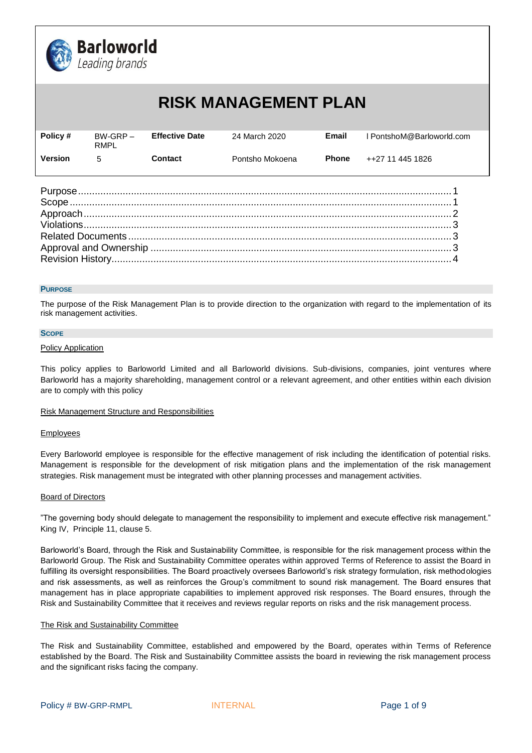

# **RISK MANAGEMENT PLAN**

| Policy # | $BW-GRP -$<br>RMPL | <b>Effective Date</b> | 24 March 2020   | Email        | l PontshoM@Barloworld.com |
|----------|--------------------|-----------------------|-----------------|--------------|---------------------------|
| Version  | 5                  | Contact               | Pontsho Mokoena | <b>Phone</b> | ++27 11 445 1826          |

## <span id="page-0-0"></span>**PURPOSE**

The purpose of the Risk Management Plan is to provide direction to the organization with regard to the implementation of its risk management activities.

#### <span id="page-0-1"></span>**SCOPE**

## Policy Application

This policy applies to Barloworld Limited and all Barloworld divisions. Sub-divisions, companies, joint ventures where Barloworld has a majority shareholding, management control or a relevant agreement, and other entities within each division are to comply with this policy

## Risk Management Structure and Responsibilities

## **Employees**

Every Barloworld employee is responsible for the effective management of risk including the identification of potential risks. Management is responsible for the development of risk mitigation plans and the implementation of the risk management strategies. Risk management must be integrated with other planning processes and management activities.

## Board of Directors

"The governing body should delegate to management the responsibility to implement and execute effective risk management." King IV, Principle 11, clause 5.

Barloworld's Board, through the Risk and Sustainability Committee, is responsible for the risk management process within the Barloworld Group. The Risk and Sustainability Committee operates within approved Terms of Reference to assist the Board in fulfilling its oversight responsibilities. The Board proactively oversees Barloworld's risk strategy formulation, risk methodologies and risk assessments, as well as reinforces the Group's commitment to sound risk management. The Board ensures that management has in place appropriate capabilities to implement approved risk responses. The Board ensures, through the Risk and Sustainability Committee that it receives and reviews regular reports on risks and the risk management process.

## The Risk and Sustainability Committee

The Risk and Sustainability Committee, established and empowered by the Board, operates within Terms of Reference established by the Board. The Risk and Sustainability Committee assists the board in reviewing the risk management process and the significant risks facing the company.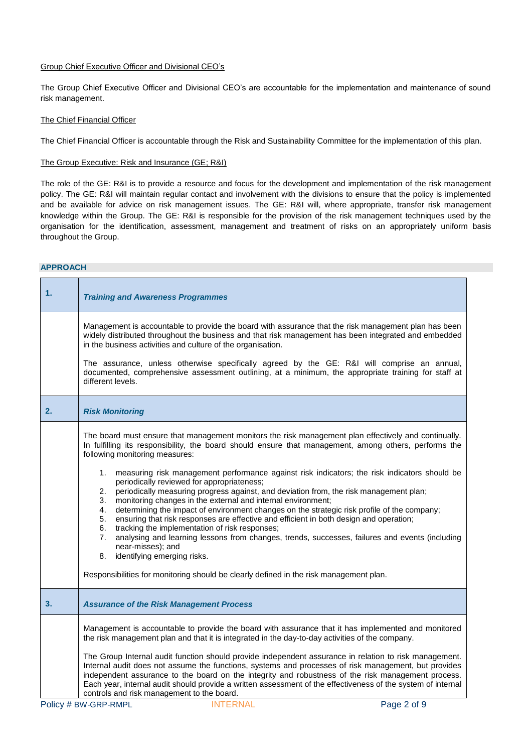# Group Chief Executive Officer and Divisional CEO's

The Group Chief Executive Officer and Divisional CEO's are accountable for the implementation and maintenance of sound risk management.

# The Chief Financial Officer

The Chief Financial Officer is accountable through the Risk and Sustainability Committee for the implementation of this plan.

# The Group Executive: Risk and Insurance (GE; R&I)

The role of the GE: R&I is to provide a resource and focus for the development and implementation of the risk management policy. The GE: R&I will maintain regular contact and involvement with the divisions to ensure that the policy is implemented and be available for advice on risk management issues. The GE: R&I will, where appropriate, transfer risk management knowledge within the Group. The GE: R&I is responsible for the provision of the risk management techniques used by the organisation for the identification, assessment, management and treatment of risks on an appropriately uniform basis throughout the Group.

# **APPROACH**

| 1. | <b>Training and Awareness Programmes</b>                                                                                                                                                                                                                                                                                                                                                                                                                                                                                                                                                                                                                                                                                                           |
|----|----------------------------------------------------------------------------------------------------------------------------------------------------------------------------------------------------------------------------------------------------------------------------------------------------------------------------------------------------------------------------------------------------------------------------------------------------------------------------------------------------------------------------------------------------------------------------------------------------------------------------------------------------------------------------------------------------------------------------------------------------|
|    | Management is accountable to provide the board with assurance that the risk management plan has been<br>widely distributed throughout the business and that risk management has been integrated and embedded<br>in the business activities and culture of the organisation.                                                                                                                                                                                                                                                                                                                                                                                                                                                                        |
|    | The assurance, unless otherwise specifically agreed by the GE: R&I will comprise an annual,<br>documented, comprehensive assessment outlining, at a minimum, the appropriate training for staff at<br>different levels.                                                                                                                                                                                                                                                                                                                                                                                                                                                                                                                            |
| 2. | <b>Risk Monitoring</b>                                                                                                                                                                                                                                                                                                                                                                                                                                                                                                                                                                                                                                                                                                                             |
|    | The board must ensure that management monitors the risk management plan effectively and continually.<br>In fulfilling its responsibility, the board should ensure that management, among others, performs the<br>following monitoring measures:                                                                                                                                                                                                                                                                                                                                                                                                                                                                                                    |
|    | 1. measuring risk management performance against risk indicators; the risk indicators should be<br>periodically reviewed for appropriateness;<br>periodically measuring progress against, and deviation from, the risk management plan;<br>2.<br>monitoring changes in the external and internal environment;<br>3.<br>determining the impact of environment changes on the strategic risk profile of the company;<br>4.<br>ensuring that risk responses are effective and efficient in both design and operation;<br>5.<br>tracking the implementation of risk responses;<br>6.<br>analysing and learning lessons from changes, trends, successes, failures and events (including<br>7.<br>near-misses); and<br>identifying emerging risks.<br>8. |
|    | Responsibilities for monitoring should be clearly defined in the risk management plan.                                                                                                                                                                                                                                                                                                                                                                                                                                                                                                                                                                                                                                                             |
| 3. | <b>Assurance of the Risk Management Process</b>                                                                                                                                                                                                                                                                                                                                                                                                                                                                                                                                                                                                                                                                                                    |
|    | Management is accountable to provide the board with assurance that it has implemented and monitored<br>the risk management plan and that it is integrated in the day-to-day activities of the company.                                                                                                                                                                                                                                                                                                                                                                                                                                                                                                                                             |
|    | The Group Internal audit function should provide independent assurance in relation to risk management.<br>Internal audit does not assume the functions, systems and processes of risk management, but provides<br>independent assurance to the board on the integrity and robustness of the risk management process.<br>Each year, internal audit should provide a written assessment of the effectiveness of the system of internal<br>controls and risk management to the board.                                                                                                                                                                                                                                                                 |
|    | Policy # BW-GRP-RMPL<br><b>INTERNAL</b><br>Page 2 of 9                                                                                                                                                                                                                                                                                                                                                                                                                                                                                                                                                                                                                                                                                             |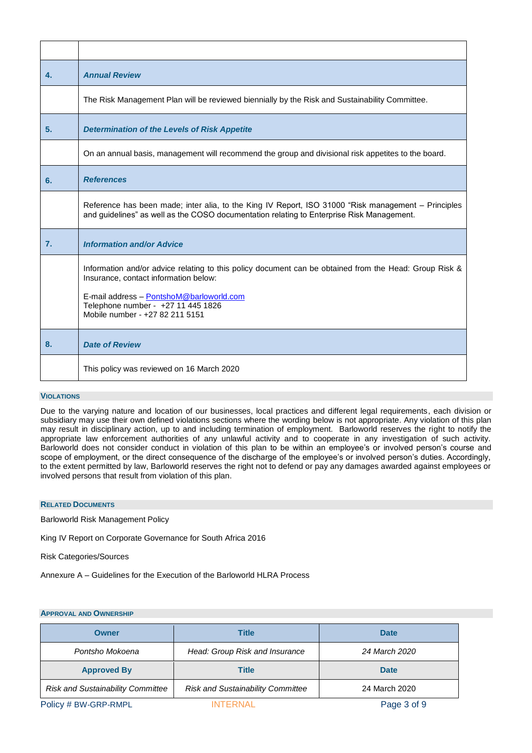| 4.               | <b>Annual Review</b>                                                                                                                                                                                                                                                 |
|------------------|----------------------------------------------------------------------------------------------------------------------------------------------------------------------------------------------------------------------------------------------------------------------|
|                  | The Risk Management Plan will be reviewed biennially by the Risk and Sustainability Committee.                                                                                                                                                                       |
| 5.               | <b>Determination of the Levels of Risk Appetite</b>                                                                                                                                                                                                                  |
|                  | On an annual basis, management will recommend the group and divisional risk appetites to the board.                                                                                                                                                                  |
| 6.               | <b>References</b>                                                                                                                                                                                                                                                    |
|                  | Reference has been made; inter alia, to the King IV Report, ISO 31000 "Risk management – Principles<br>and guidelines" as well as the COSO documentation relating to Enterprise Risk Management.                                                                     |
| $\overline{7}$ . | <b>Information and/or Advice</b>                                                                                                                                                                                                                                     |
|                  | Information and/or advice relating to this policy document can be obtained from the Head: Group Risk &<br>Insurance, contact information below:<br>E-mail address - PontshoM@barloworld.com<br>Telephone number - +27 11 445 1826<br>Mobile number - +27 82 211 5151 |
| 8.               | <b>Date of Review</b>                                                                                                                                                                                                                                                |
|                  | This policy was reviewed on 16 March 2020                                                                                                                                                                                                                            |

# <span id="page-2-0"></span>**VIOLATIONS**

Due to the varying nature and location of our businesses, local practices and different legal requirements, each division or subsidiary may use their own defined violations sections where the wording below is not appropriate. Any violation of this plan may result in disciplinary action, up to and including termination of employment. Barloworld reserves the right to notify the appropriate law enforcement authorities of any unlawful activity and to cooperate in any investigation of such activity. Barloworld does not consider conduct in violation of this plan to be within an employee's or involved person's course and scope of employment, or the direct consequence of the discharge of the employee's or involved person's duties. Accordingly, to the extent permitted by law, Barloworld reserves the right not to defend or pay any damages awarded against employees or involved persons that result from violation of this plan.

# <span id="page-2-1"></span>**RELATED DOCUMENTS**

Barloworld Risk Management Policy

King IV Report on Corporate Governance for South Africa 2016

Risk Categories/Sources

Annexure A – Guidelines for the Execution of the Barloworld HLRA Process

# <span id="page-2-2"></span>**APPROVAL AND OWNERSHIP**

| <b>Owner</b>                             | <b>Title</b>                             | <b>Date</b>   |
|------------------------------------------|------------------------------------------|---------------|
| Pontsho Mokoena                          | Head: Group Risk and Insurance           | 24 March 2020 |
| <b>Approved By</b>                       | <b>Title</b>                             | <b>Date</b>   |
| <b>Risk and Sustainability Committee</b> | <b>Risk and Sustainability Committee</b> | 24 March 2020 |
| Policy # BW-GRP-RMPL                     | <b>INTERNAL</b>                          | Page 3 of 9   |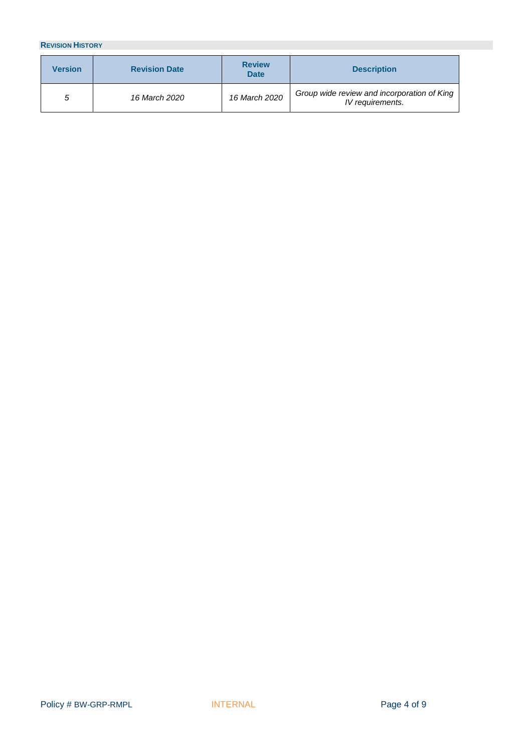# <span id="page-3-0"></span>**REVISION HISTORY**

| <b>Version</b> | <b>Revision Date</b> | <b>Review</b><br><b>Date</b> | <b>Description</b>                                              |
|----------------|----------------------|------------------------------|-----------------------------------------------------------------|
| 5              | 16 March 2020        | 16 March 2020                | Group wide review and incorporation of King<br>IV requirements. |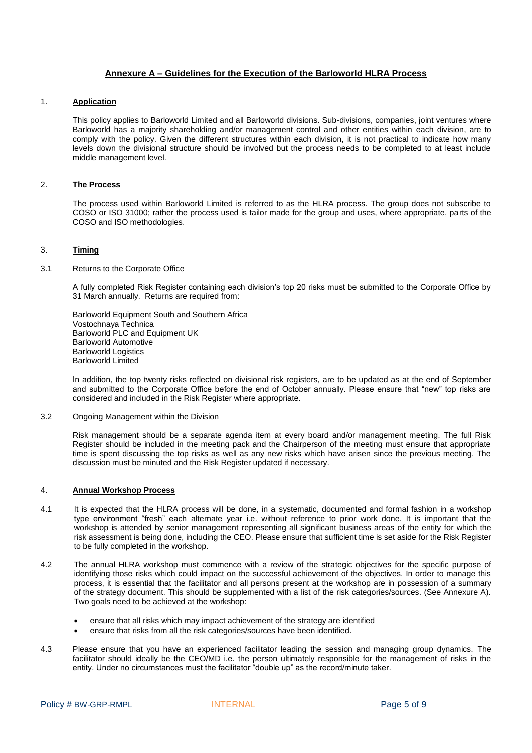# **Annexure A – Guidelines for the Execution of the Barloworld HLRA Process**

## 1. **Application**

This policy applies to Barloworld Limited and all Barloworld divisions. Sub-divisions, companies, joint ventures where Barloworld has a majority shareholding and/or management control and other entities within each division, are to comply with the policy. Given the different structures within each division, it is not practical to indicate how many levels down the divisional structure should be involved but the process needs to be completed to at least include middle management level.

# 2. **The Process**

The process used within Barloworld Limited is referred to as the HLRA process. The group does not subscribe to COSO or ISO 31000; rather the process used is tailor made for the group and uses, where appropriate, parts of the COSO and ISO methodologies.

## 3. **Timing**

3.1 Returns to the Corporate Office

A fully completed Risk Register containing each division's top 20 risks must be submitted to the Corporate Office by 31 March annually. Returns are required from:

Barloworld Equipment South and Southern Africa Vostochnaya Technica Barloworld PLC and Equipment UK Barloworld Automotive Barloworld Logistics Barloworld Limited

In addition, the top twenty risks reflected on divisional risk registers, are to be updated as at the end of September and submitted to the Corporate Office before the end of October annually. Please ensure that "new" top risks are considered and included in the Risk Register where appropriate.

3.2 Ongoing Management within the Division

Risk management should be a separate agenda item at every board and/or management meeting. The full Risk Register should be included in the meeting pack and the Chairperson of the meeting must ensure that appropriate time is spent discussing the top risks as well as any new risks which have arisen since the previous meeting. The discussion must be minuted and the Risk Register updated if necessary.

## 4. **Annual Workshop Process**

- 4.1 It is expected that the HLRA process will be done, in a systematic, documented and formal fashion in a workshop type environment "fresh" each alternate year i.e. without reference to prior work done. It is important that the workshop is attended by senior management representing all significant business areas of the entity for which the risk assessment is being done, including the CEO. Please ensure that sufficient time is set aside for the Risk Register to be fully completed in the workshop.
- 4.2 The annual HLRA workshop must commence with a review of the strategic objectives for the specific purpose of identifying those risks which could impact on the successful achievement of the objectives. In order to manage this process, it is essential that the facilitator and all persons present at the workshop are in possession of a summary of the strategy document. This should be supplemented with a list of the risk categories/sources. (See Annexure A). Two goals need to be achieved at the workshop:
	- ensure that all risks which may impact achievement of the strategy are identified
	- ensure that risks from all the risk categories/sources have been identified.
- 4.3 Please ensure that you have an experienced facilitator leading the session and managing group dynamics. The facilitator should ideally be the CEO/MD i.e. the person ultimately responsible for the management of risks in the entity. Under no circumstances must the facilitator "double up" as the record/minute taker.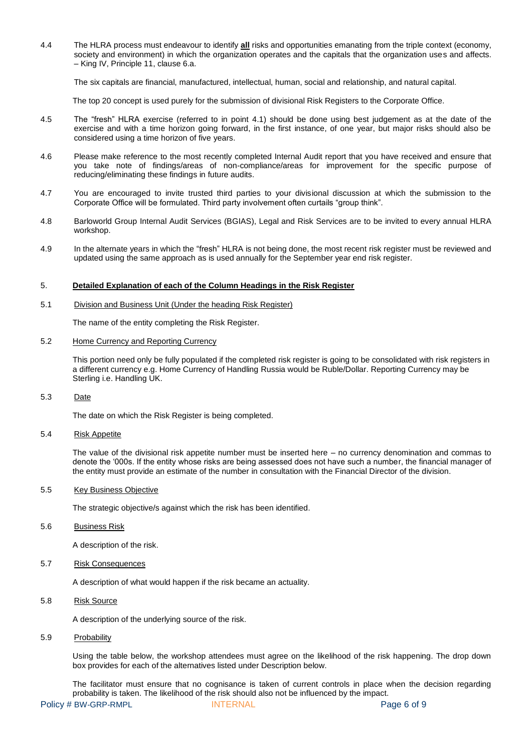4.4 The HLRA process must endeavour to identify **all** risks and opportunities emanating from the triple context (economy, society and environment) in which the organization operates and the capitals that the organization uses and affects. – King IV, Principle 11, clause 6.a.

The six capitals are financial, manufactured, intellectual, human, social and relationship, and natural capital.

The top 20 concept is used purely for the submission of divisional Risk Registers to the Corporate Office.

- 4.5 The "fresh" HLRA exercise (referred to in point 4.1) should be done using best judgement as at the date of the exercise and with a time horizon going forward, in the first instance, of one year, but major risks should also be considered using a time horizon of five years.
- 4.6 Please make reference to the most recently completed Internal Audit report that you have received and ensure that you take note of findings/areas of non-compliance/areas for improvement for the specific purpose of reducing/eliminating these findings in future audits.
- 4.7 You are encouraged to invite trusted third parties to your divisional discussion at which the submission to the Corporate Office will be formulated. Third party involvement often curtails "group think".
- 4.8 Barloworld Group Internal Audit Services (BGIAS), Legal and Risk Services are to be invited to every annual HLRA workshop.
- 4.9 In the alternate years in which the "fresh" HLRA is not being done, the most recent risk register must be reviewed and updated using the same approach as is used annually for the September year end risk register.

#### 5. **Detailed Explanation of each of the Column Headings in the Risk Register**

#### 5.1 Division and Business Unit (Under the heading Risk Register)

The name of the entity completing the Risk Register.

#### 5.2 Home Currency and Reporting Currency

This portion need only be fully populated if the completed risk register is going to be consolidated with risk registers in a different currency e.g. Home Currency of Handling Russia would be Ruble/Dollar. Reporting Currency may be Sterling i.e. Handling UK.

# 5.3 Date

The date on which the Risk Register is being completed.

#### 5.4 Risk Appetite

The value of the divisional risk appetite number must be inserted here – no currency denomination and commas to denote the '000s. If the entity whose risks are being assessed does not have such a number, the financial manager of the entity must provide an estimate of the number in consultation with the Financial Director of the division.

## 5.5 Key Business Objective

The strategic objective/s against which the risk has been identified.

#### 5.6 Business Risk

A description of the risk.

5.7 Risk Consequences

A description of what would happen if the risk became an actuality.

# 5.8 Risk Source

A description of the underlying source of the risk.

#### 5.9 Probability

Using the table below, the workshop attendees must agree on the likelihood of the risk happening. The drop down box provides for each of the alternatives listed under Description below.

The facilitator must ensure that no cognisance is taken of current controls in place when the decision regarding probability is taken. The likelihood of the risk should also not be influenced by the impact.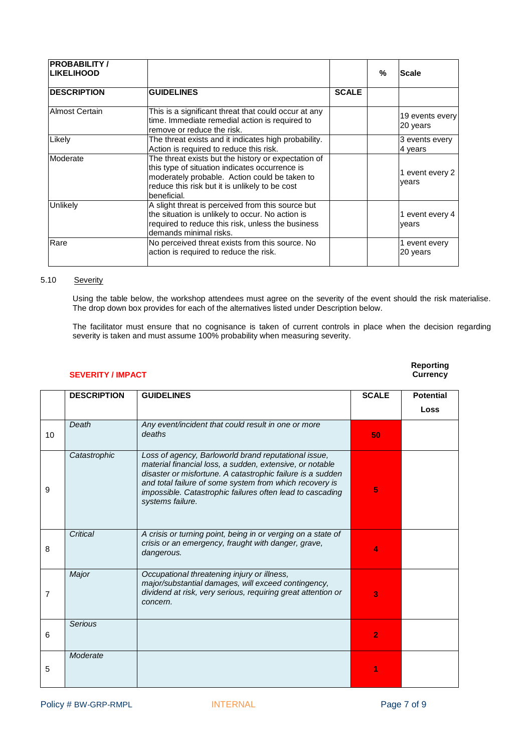| <b>PROBABILITY /</b><br><b>LIKELIHOOD</b> |                                                                                                                                                                                                                         |              | % | <b>Scale</b>                |
|-------------------------------------------|-------------------------------------------------------------------------------------------------------------------------------------------------------------------------------------------------------------------------|--------------|---|-----------------------------|
| <b>IDESCRIPTION</b>                       | <b>GUIDELINES</b>                                                                                                                                                                                                       | <b>SCALE</b> |   |                             |
| Almost Certain                            | This is a significant threat that could occur at any<br>time. Immediate remedial action is required to<br>remove or reduce the risk.                                                                                    |              |   | 19 events every<br>20 years |
| Likely                                    | The threat exists and it indicates high probability.<br>Action is required to reduce this risk.                                                                                                                         |              |   | 3 events every<br>4 years   |
| Moderate                                  | The threat exists but the history or expectation of<br>this type of situation indicates occurrence is<br>moderately probable. Action could be taken to<br>reduce this risk but it is unlikely to be cost<br>beneficial. |              |   | 1 event every 2<br>years    |
| <b>Unlikely</b>                           | A slight threat is perceived from this source but<br>the situation is unlikely to occur. No action is<br>required to reduce this risk, unless the business<br>demands minimal risks.                                    |              |   | 1 event every 4<br>vears    |
| Rare                                      | No perceived threat exists from this source. No<br>action is required to reduce the risk.                                                                                                                               |              |   | 1 event every<br>20 years   |

# 5.10 Severity

Using the table below, the workshop attendees must agree on the severity of the event should the risk materialise. The drop down box provides for each of the alternatives listed under Description below.

The facilitator must ensure that no cognisance is taken of current controls in place when the decision regarding severity is taken and must assume 100% probability when measuring severity.

# **SEVERITY / IMPACT**

# **Reporting**

|                | <b>DESCRIPTION</b> | <b>GUIDELINES</b>                                                                                                                                                                                                                                                                                                          | <b>SCALE</b>   | <b>Potential</b> |
|----------------|--------------------|----------------------------------------------------------------------------------------------------------------------------------------------------------------------------------------------------------------------------------------------------------------------------------------------------------------------------|----------------|------------------|
|                |                    |                                                                                                                                                                                                                                                                                                                            |                | Loss             |
| 10             | Death              | Any event/incident that could result in one or more<br>deaths                                                                                                                                                                                                                                                              | 50             |                  |
| 9              | Catastrophic       | Loss of agency, Barloworld brand reputational issue,<br>material financial loss, a sudden, extensive, or notable<br>disaster or misfortune. A catastrophic failure is a sudden<br>and total failure of some system from which recovery is<br>impossible. Catastrophic failures often lead to cascading<br>systems failure. | 5              |                  |
| 8              | Critical           | A crisis or turning point, being in or verging on a state of<br>crisis or an emergency, fraught with danger, grave,<br>dangerous.                                                                                                                                                                                          | 4              |                  |
| $\overline{7}$ | Major              | Occupational threatening injury or illness,<br>major/substantial damages, will exceed contingency,<br>dividend at risk, very serious, requiring great attention or<br>concern.                                                                                                                                             | 3              |                  |
| 6              | <b>Serious</b>     |                                                                                                                                                                                                                                                                                                                            | $\overline{2}$ |                  |
| 5              | Moderate           |                                                                                                                                                                                                                                                                                                                            |                |                  |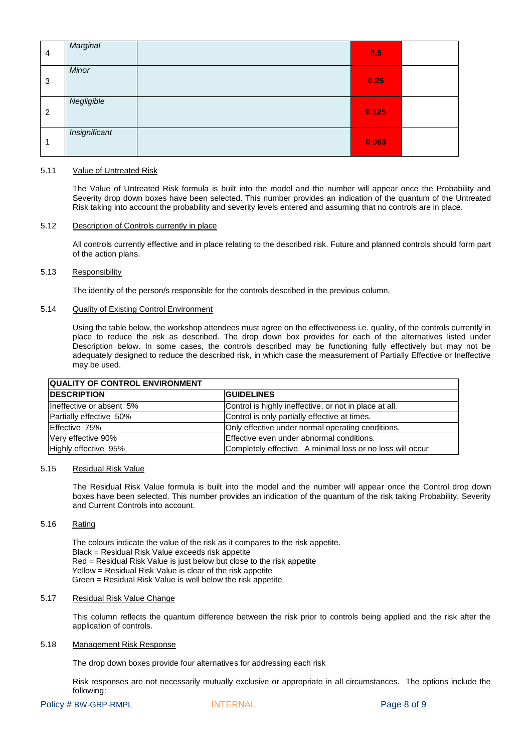| 4              | Marginal      | 0.5   |  |
|----------------|---------------|-------|--|
| 3              | Minor         | 0.25  |  |
| $\overline{2}$ | Negligible    | 0.125 |  |
|                | Insignificant | 0.063 |  |

## 5.11 Value of Untreated Risk

The Value of Untreated Risk formula is built into the model and the number will appear once the Probability and Severity drop down boxes have been selected. This number provides an indication of the quantum of the Untreated Risk taking into account the probability and severity levels entered and assuming that no controls are in place.

#### 5.12 Description of Controls currently in place

All controls currently effective and in place relating to the described risk. Future and planned controls should form part of the action plans.

# 5.13 Responsibility

The identity of the person/s responsible for the controls described in the previous column.

## 5.14 Quality of Existing Control Environment

Using the table below, the workshop attendees must agree on the effectiveness i.e. quality, of the controls currently in place to reduce the risk as described. The drop down box provides for each of the alternatives listed under Description below. In some cases, the controls described may be functioning fully effectively but may not be adequately designed to reduce the described risk, in which case the measurement of Partially Effective or Ineffective may be used.

| <b>QUALITY OF CONTROL ENVIRONMENT</b> |                                                            |  |  |  |
|---------------------------------------|------------------------------------------------------------|--|--|--|
| <b>IDESCRIPTION</b>                   | <b>GUIDELINES</b>                                          |  |  |  |
| lIneffective or absent 5%             | Control is highly ineffective, or not in place at all.     |  |  |  |
| Partially effective 50%               | Control is only partially effective at times.              |  |  |  |
| Effective 75%                         | Only effective under normal operating conditions.          |  |  |  |
| Very effective 90%                    | Effective even under abnormal conditions.                  |  |  |  |
| Highly effective 95%                  | Completely effective. A minimal loss or no loss will occur |  |  |  |

#### 5.15 Residual Risk Value

The Residual Risk Value formula is built into the model and the number will appear once the Control drop down boxes have been selected. This number provides an indication of the quantum of the risk taking Probability, Severity and Current Controls into account.

## 5.16 Rating

The colours indicate the value of the risk as it compares to the risk appetite. Black = Residual Risk Value exceeds risk appetite Red = Residual Risk Value is just below but close to the risk appetite Yellow = Residual Risk Value is clear of the risk appetite Green = Residual Risk Value is well below the risk appetite

## 5.17 Residual Risk Value Change

This column reflects the quantum difference between the risk prior to controls being applied and the risk after the application of controls.

### 5.18 Management Risk Response

The drop down boxes provide four alternatives for addressing each risk

Risk responses are not necessarily mutually exclusive or appropriate in all circumstances. The options include the following: